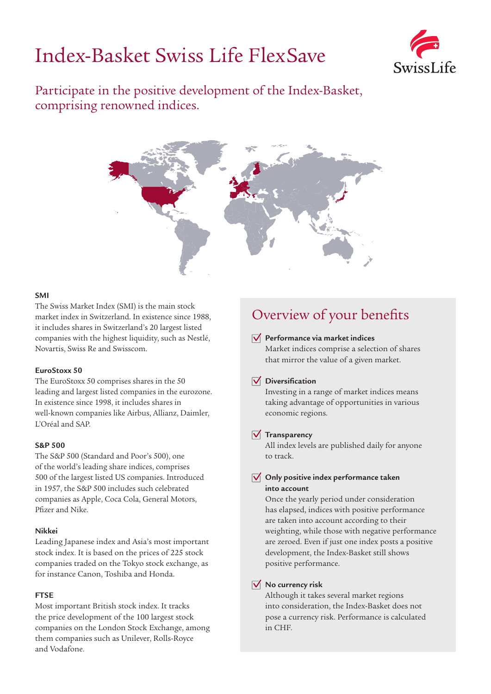# Index-Basket Swiss Life FlexSave



Participate in the positive development of the Index-Basket, comprising renowned indices.



#### **SMI**

The Swiss Market Index (SMI) is the main stock market index in Switzerland. In existence since 1988, it includes shares in Switzerland's 20 largest listed companies with the highest liquidity, such as Nestlé, Novartis, Swiss Re and Swisscom.

#### **EuroStoxx 50**

The EuroStoxx 50 comprises shares in the 50 leading and largest listed companies in the eurozone. In existence since 1998, it includes shares in well-known companies like Airbus, Allianz, Daimler, L'Oréal and SAP.

#### **S&P 500**

The S&P 500 (Standard and Poor's 500), one of the world's leading share indices, comprises 500 of the largest listed US companies. Introduced in 1957, the S&P 500 includes such celebrated companies as Apple, Coca Cola, General Motors, Pfizer and Nike.

#### **Nikkei**

Leading Japanese index and Asia's most important stock index. It is based on the prices of 225 stock companies traded on the Tokyo stock exchange, as for instance Canon, Toshiba and Honda.

#### **FTSE**

Most important British stock index. It tracks the price development of the 100 largest stock companies on the London Stock Exchange, among them companies such as Unilever, Rolls-Royce and Vodafone.

# Overview of your benefits

#### **Performance via market indices**

Market indices comprise a selection of shares that mirror the value of a given market.

#### **Diversification**

Investing in a range of market indices means taking advantage of opportunities in various economic regions.

#### **Transparency**

All index levels are published daily for anyone to track.

#### **Only positive index performance taken into account**

Once the yearly period under consideration has elapsed, indices with positive performance are taken into account according to their weighting, while those with negative performance are zeroed. Even if just one index posts a positive development, the Index-Basket still shows positive performance.

#### **No currency risk**

Although it takes several market regions into consideration, the Index-Basket does not pose a currency risk. Performance is calculated in CHF.